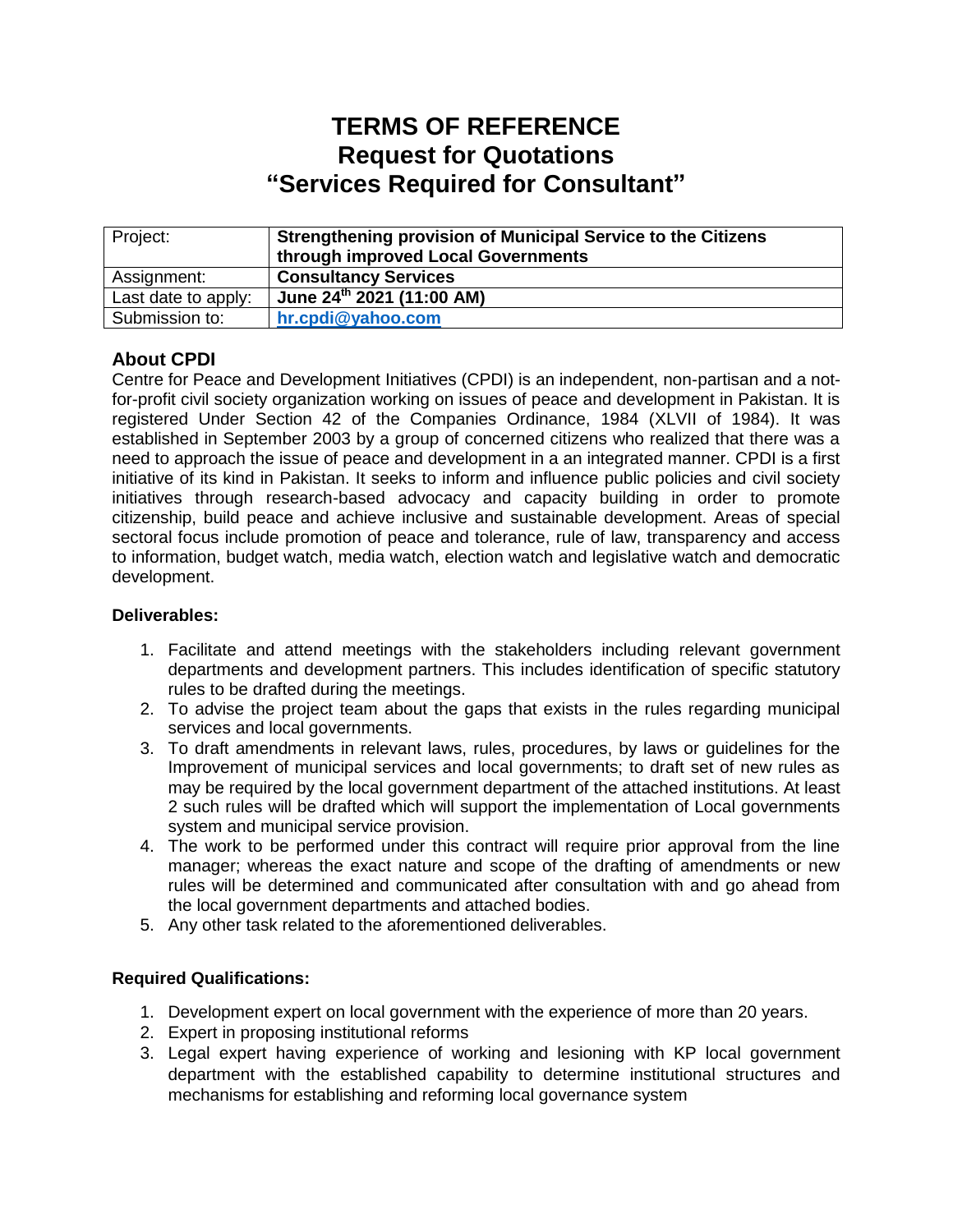# **TERMS OF REFERENCE Request for Quotations "Services Required for Consultant"**

| Project:            | <b>Strengthening provision of Municipal Service to the Citizens</b><br>through improved Local Governments |
|---------------------|-----------------------------------------------------------------------------------------------------------|
| Assignment:         | <b>Consultancy Services</b>                                                                               |
| Last date to apply: | June 24th 2021 (11:00 AM)                                                                                 |
| Submission to:      | hr.cpdi@yahoo.com                                                                                         |

# **About CPDI**

Centre for Peace and Development Initiatives (CPDI) is an independent, non-partisan and a notfor-profit civil society organization working on issues of peace and development in Pakistan. It is registered Under Section 42 of the Companies Ordinance, 1984 (XLVII of 1984). It was established in September 2003 by a group of concerned citizens who realized that there was a need to approach the issue of peace and development in a an integrated manner. CPDI is a first initiative of its kind in Pakistan. It seeks to inform and influence public policies and civil society initiatives through research-based advocacy and capacity building in order to promote citizenship, build peace and achieve inclusive and sustainable development. Areas of special sectoral focus include promotion of peace and tolerance, rule of law, transparency and access to information, budget watch, media watch, election watch and legislative watch and democratic development.

### **Deliverables:**

- 1. Facilitate and attend meetings with the stakeholders including relevant government departments and development partners. This includes identification of specific statutory rules to be drafted during the meetings.
- 2. To advise the project team about the gaps that exists in the rules regarding municipal services and local governments.
- 3. To draft amendments in relevant laws, rules, procedures, by laws or guidelines for the Improvement of municipal services and local governments; to draft set of new rules as may be required by the local government department of the attached institutions. At least 2 such rules will be drafted which will support the implementation of Local governments system and municipal service provision.
- 4. The work to be performed under this contract will require prior approval from the line manager; whereas the exact nature and scope of the drafting of amendments or new rules will be determined and communicated after consultation with and go ahead from the local government departments and attached bodies.
- 5. Any other task related to the aforementioned deliverables.

## **Required Qualifications:**

- 1. Development expert on local government with the experience of more than 20 years.
- 2. Expert in proposing institutional reforms
- 3. Legal expert having experience of working and lesioning with KP local government department with the established capability to determine institutional structures and mechanisms for establishing and reforming local governance system